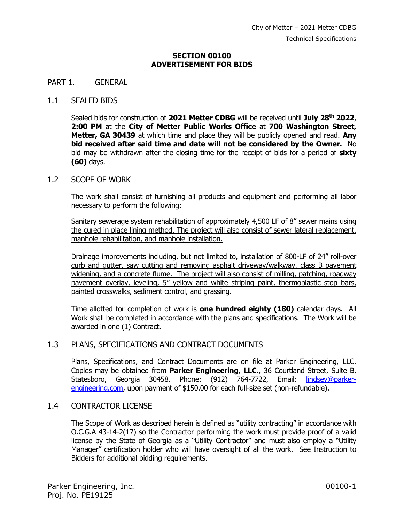Technical Specifications

### **SECTION 00100 ADVERTISEMENT FOR BIDS**

#### PART 1. GENERAL

### 1.1 SEALED BIDS

Sealed bids for construction of **2021 Metter CDBG** will be received until **July 28 th 2022**, **2:00 PM** at the **City of Metter Public Works Office** at **700 Washington Street, Metter, GA 30439** at which time and place they will be publicly opened and read. **Any bid received after said time and date will not be considered by the Owner.** No bid may be withdrawn after the closing time for the receipt of bids for a period of **sixty (60)** days.

### 1.2 SCOPE OF WORK

The work shall consist of furnishing all products and equipment and performing all labor necessary to perform the following:

Sanitary sewerage system rehabilitation of approximately 4,500 LF of 8" sewer mains using the cured in place lining method. The project will also consist of sewer lateral replacement, manhole rehabilitation, and manhole installation.

Drainage improvements including, but not limited to, installation of 800-LF of 24" roll-over curb and gutter, saw cutting and removing asphalt driveway/walkway, class B pavement widening, and a concrete flume. The project will also consist of milling, patching, roadway pavement overlay, leveling, 5" yellow and white striping paint, thermoplastic stop bars, painted crosswalks, sediment control, and grassing.

Time allotted for completion of work is **one hundred eighty (180)** calendar days. All Work shall be completed in accordance with the plans and specifications. The Work will be awarded in one (1) Contract.

## 1.3 PLANS, SPECIFICATIONS AND CONTRACT DOCUMENTS

Plans, Specifications, and Contract Documents are on file at Parker Engineering, LLC. Copies may be obtained from **Parker Engineering, LLC.**, 36 Courtland Street, Suite B, Statesboro, Georgia 30458, Phone: (912) 764-7722, Email: [lindsey@parker](mailto:lindsey@parker-engineering.com)[engineering.com,](mailto:lindsey@parker-engineering.com) upon payment of \$150.00 for each full-size set (non-refundable).

## 1.4 CONTRACTOR LICENSE

The Scope of Work as described herein is defined as "utility contracting" in accordance with O.C.G.A 43-14-2(17) so the Contractor performing the work must provide proof of a valid license by the State of Georgia as a "Utility Contractor" and must also employ a "Utility Manager" certification holder who will have oversight of all the work. See Instruction to Bidders for additional bidding requirements.